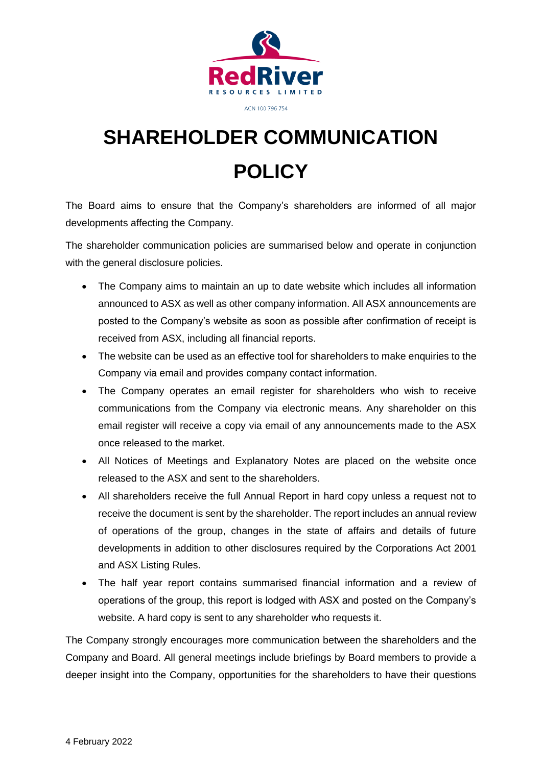

## **SHAREHOLDER COMMUNICATION POLICY**

The Board aims to ensure that the Company's shareholders are informed of all major developments affecting the Company.

The shareholder communication policies are summarised below and operate in conjunction with the general disclosure policies.

- The Company aims to maintain an up to date website which includes all information announced to ASX as well as other company information. All ASX announcements are posted to the Company's website as soon as possible after confirmation of receipt is received from ASX, including all financial reports.
- The website can be used as an effective tool for shareholders to make enquiries to the Company via email and provides company contact information.
- The Company operates an email register for shareholders who wish to receive communications from the Company via electronic means. Any shareholder on this email register will receive a copy via email of any announcements made to the ASX once released to the market.
- All Notices of Meetings and Explanatory Notes are placed on the website once released to the ASX and sent to the shareholders.
- All shareholders receive the full Annual Report in hard copy unless a request not to receive the document is sent by the shareholder. The report includes an annual review of operations of the group, changes in the state of affairs and details of future developments in addition to other disclosures required by the Corporations Act 2001 and ASX Listing Rules.
- The half year report contains summarised financial information and a review of operations of the group, this report is lodged with ASX and posted on the Company's website. A hard copy is sent to any shareholder who requests it.

The Company strongly encourages more communication between the shareholders and the Company and Board. All general meetings include briefings by Board members to provide a deeper insight into the Company, opportunities for the shareholders to have their questions